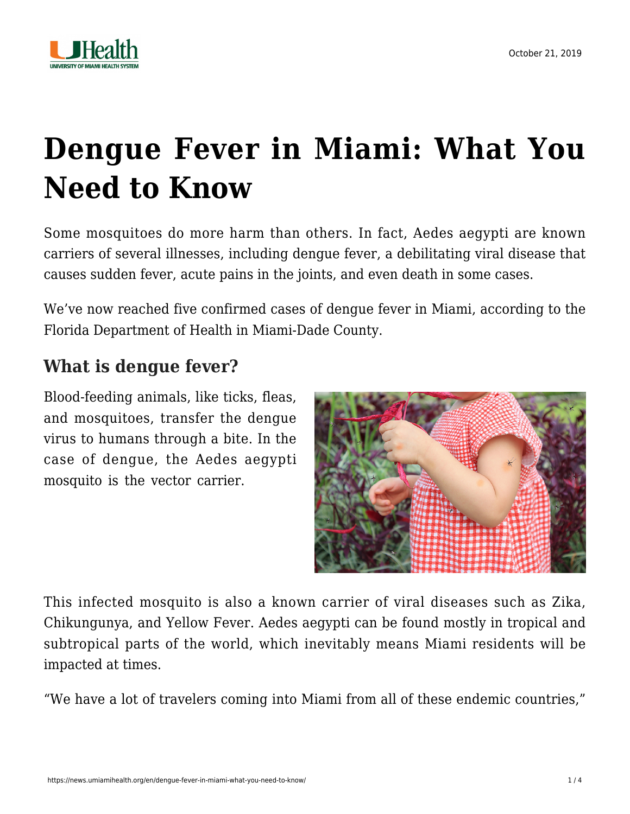

# **[Dengue Fever in Miami: What You](https://news.umiamihealth.org/en/dengue-fever-in-miami-what-you-need-to-know/) [Need to Know](https://news.umiamihealth.org/en/dengue-fever-in-miami-what-you-need-to-know/)**

Some mosquitoes do more harm than others. In fact, Aedes aegypti are known carriers of several illnesses, including dengue fever, a debilitating viral disease that causes sudden fever, acute pains in the joints, and even death in some cases.

We've now reached five confirmed cases of dengue fever in Miami, [according to the](http://miamidade.floridahealth.gov/newsroom/2019/09/2019-09-27-Health-Officials-Issue-Mosquito-Borne-Illnesses-Alert.html) [Florida Department of Health in Miami-Dade County](http://miamidade.floridahealth.gov/newsroom/2019/09/2019-09-27-Health-Officials-Issue-Mosquito-Borne-Illnesses-Alert.html).

### **What is dengue fever?**

Blood-feeding animals, like ticks, fleas, and mosquitoes, transfer the dengue virus to humans through a bite. In the case of dengue, the Aedes aegypti mosquito is the vector carrier.



This infected mosquito is also a known carrier of viral diseases such as Zika, Chikungunya, and Yellow Fever. Aedes aegypti can be found mostly in tropical and subtropical parts of the world, which inevitably means Miami residents will be impacted at times.

"We have a lot of travelers coming into Miami from all of these endemic countries,"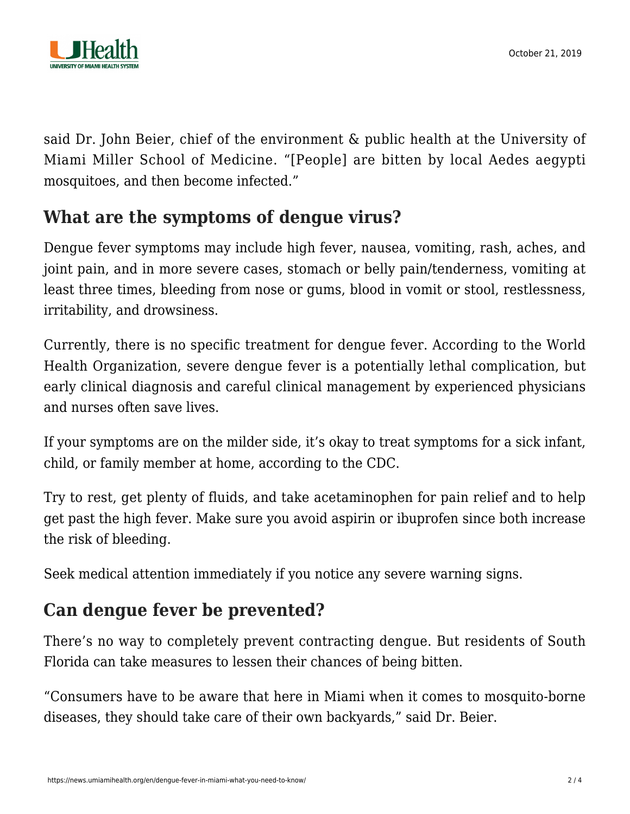

said Dr. John Beier, chief of the environment & public health at the University of Miami Miller School of Medicine. "[People] are bitten by local Aedes aegypti mosquitoes, and then become infected."

## **What are the symptoms of dengue virus?**

Dengue fever symptoms may include high fever, nausea, vomiting, rash, aches, and joint pain, and in more severe cases, stomach or belly pain/tenderness, vomiting at least three times, bleeding from nose or gums, blood in vomit or stool, restlessness, irritability, and drowsiness.

Currently, there is no specific treatment for dengue fever. According to the World Health Organization, severe dengue fever is a potentially lethal complication, but early clinical diagnosis and careful clinical management by experienced physicians and nurses often save lives.

If your symptoms are on the milder side, it's okay to treat symptoms for a sick infant, child, or family member at home, [according to the CDC.](https://www.cdc.gov/dengue/symptoms/index.html#anchor_1555426819180)

Try to rest, get plenty of fluids, and take acetaminophen for pain relief and to help get past the high fever. Make sure you avoid aspirin or ibuprofen since both increase the risk of bleeding.

Seek medical attention immediately if you notice any severe warning signs.

# **Can dengue fever be prevented?**

There's no way to completely prevent contracting dengue. But residents of South Florida can take measures to lessen their chances of being bitten.

"Consumers have to be aware that here in Miami when it comes to mosquito-borne diseases, they should take care of their own backyards," said Dr. Beier.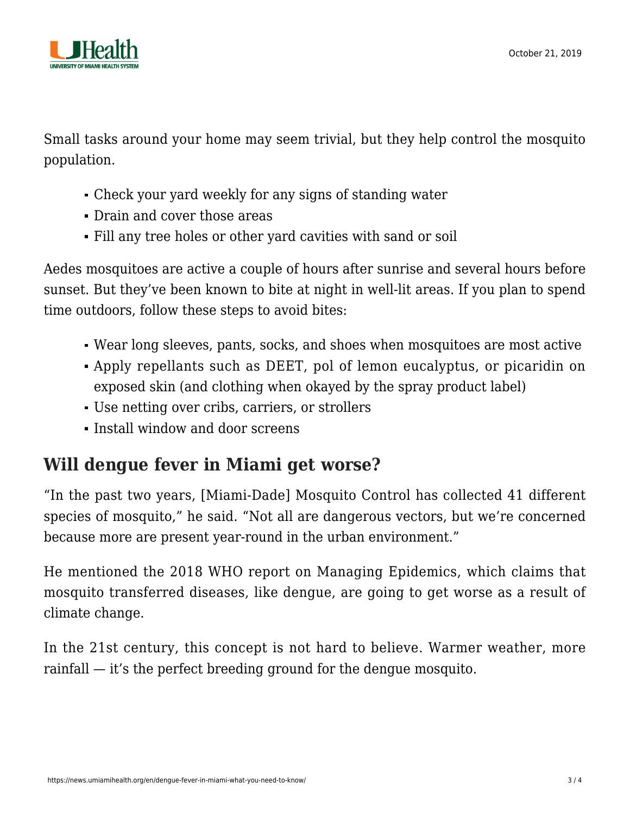

Small tasks around your home may seem trivial, but they help control the mosquito population.

- Check your yard weekly for any signs of standing water
- Drain and cover those areas
- Fill any tree holes or other yard cavities with sand or soil

Aedes mosquitoes are active a couple of hours after sunrise and several hours before sunset. But they've been known to bite at night in well-lit areas. If you plan to spend time outdoors, follow these steps to avoid bites:

- Wear long sleeves, pants, socks, and shoes when mosquitoes are most active
- Apply repellants such as DEET, pol of lemon eucalyptus, or picaridin on exposed skin (and clothing when okayed by the spray product label)
- Use netting over cribs, carriers, or strollers
- **Install window and door screens**

## **Will dengue fever in Miami get worse?**

"In the past two years, [Miami-Dade] Mosquito Control has collected 41 different species of mosquito," he said. "Not all are dangerous vectors, but we're concerned because more are present year-round in the urban environment."

He mentioned [the 2018 WHO report on Managing Epidemics,](https://www.who.int/emergencies/diseases/managing-epidemics/en/) which claims that mosquito transferred diseases, like dengue, are going to get worse as a result of climate change.

In the 21st century, this concept is not hard to believe. Warmer weather, more rainfall — it's the perfect breeding ground for the dengue mosquito.